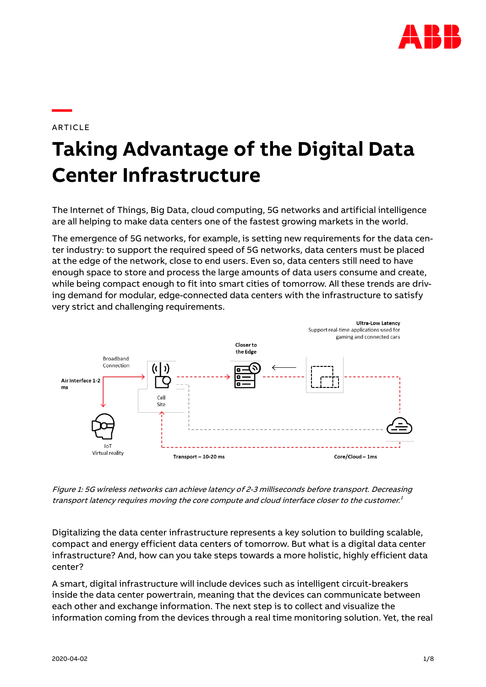

## ARTICLE

**—**

# **Taking Advantage of the Digital Data Center Infrastructure**

The Internet of Things, Big Data, cloud computing, 5G networks and artificial intelligence are all helping to make data centers one of the fastest growing markets in the world.

The emergence of 5G networks, for example, is setting new requirements for the data center industry: to support the required speed of 5G networks, data centers must be placed at the edge of the network, close to end users. Even so, data centers still need to have enough space to store and process the large amounts of data users consume and create, while being compact enough to fit into smart cities of tomorrow. All these trends are driving demand for modular, edge-connected data centers with the infrastructure to satisfy very strict and challenging requirements.



Figure 1: 5G wireless networks can achieve latency of 2-3 milliseconds before transport. Decreasing transport latency requires moving the core compute and cloud interface closer to the customer. 1

Digitalizing the data center infrastructure represents a key solution to building scalable, compact and energy efficient data centers of tomorrow. But what is a digital data center infrastructure? And, how can you take steps towards a more holistic, highly efficient data center?

A smart, digital infrastructure will include devices such as intelligent circuit-breakers inside the data center powertrain, meaning that the devices can communicate between each other and exchange information. The next step is to collect and visualize the information coming from the devices through a real time monitoring solution. Yet, the real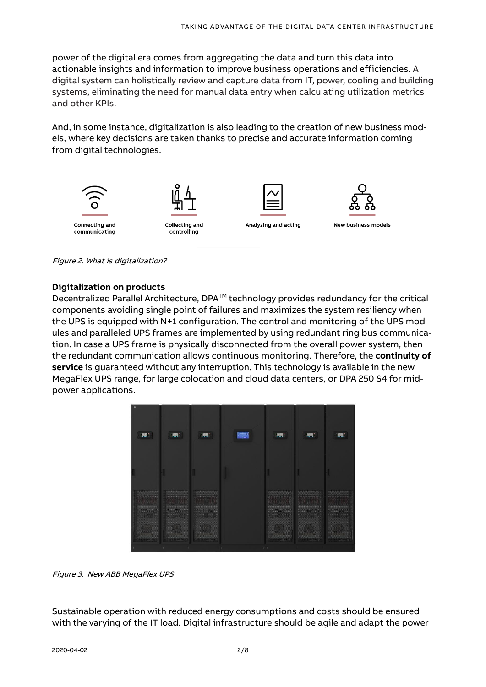power of the digital era comes from aggregating the data and turn this data into actionable insights and information to improve business operations and efficiencies. A digital system can holistically review and capture data from IT, power, cooling and building systems, eliminating the need for manual data entry when calculating utilization metrics and other KPIs.

And, in some instance, digitalization is also leading to the creation of new business models, where key decisions are taken thanks to precise and accurate information coming from digital technologies.



Figure 2. What is digitalization?

#### **Digitalization on products**

Decentralized Parallel Architecture,  $DPA^{TM}$  technology provides redundancy for the critical components avoiding single point of failures and maximizes the system resiliency when the UPS is equipped with N+1 configuration. The control and monitoring of the UPS modules and paralleled UPS frames are implemented by using redundant ring bus communication. In case a UPS frame is physically disconnected from the overall power system, then the redundant communication allows continuous monitoring. Therefore, the **continuity of service** is guaranteed without any interruption. This technology is available in the new MegaFlex UPS range, for large colocation and cloud data centers, or DPA 250 S4 for midpower applications.



Figure 3. New ABB MegaFlex UPS

Sustainable operation with reduced energy consumptions and costs should be ensured with the varying of the IT load. Digital infrastructure should be agile and adapt the power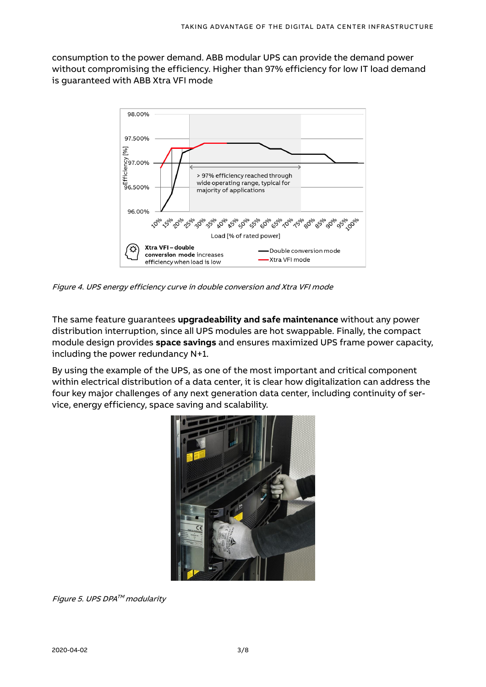consumption to the power demand. ABB modular UPS can provide the demand power without compromising the efficiency. Higher than 97% efficiency for low IT load demand is guaranteed with ABB Xtra VFI mode



Figure 4. UPS energy efficiency curve in double conversion and Xtra VFI mode

The same feature guarantees **upgradeability and safe maintenance** without any power distribution interruption, since all UPS modules are hot swappable. Finally, the compact module design provides **space savings** and ensures maximized UPS frame power capacity, including the power redundancy N+1.

By using the example of the UPS, as one of the most important and critical component within electrical distribution of a data center, it is clear how digitalization can address the four key major challenges of any next generation data center, including continuity of service, energy efficiency, space saving and scalability.



Figure 5. UPS DPA™ modularity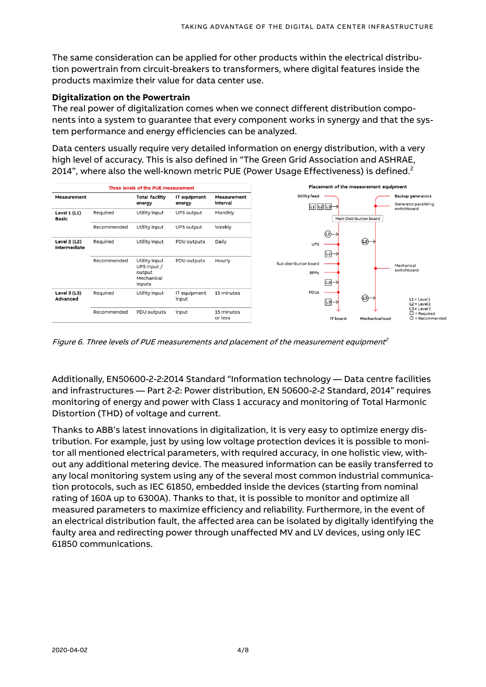The same consideration can be applied for other products within the electrical distribution powertrain from circuit-breakers to transformers, where digital features inside the products maximize their value for data center use.

## **Digitalization on the Powertrain**

The real power of digitalization comes when we connect different distribution components into a system to guarantee that every component works in synergy and that the system performance and energy efficiencies can be analyzed.

Data centers usually require very detailed information on energy distribution, with a very high level of accuracy. This is also defined in "The Green Grid Association and ASHRAE, 2014", where also the well-known metric PUE (Power Usage Effectiveness) is defined.<sup>2</sup>



Figure 6. Three levels of PUE measurements and placement of the measurement equipment<sup>2</sup>

Additionally, EN50600-2-2:2014 Standard "Information technology — Data centre facilities and infrastructures — Part 2-2: Power distribution, EN 50600-2-2 Standard, 2014" requires monitoring of energy and power with Class 1 accuracy and monitoring of Total Harmonic Distortion (THD) of voltage and current.

Thanks to ABB's latest innovations in digitalization, it is very easy to optimize energy distribution. For example, just by using low voltage protection devices it is possible to monitor all mentioned electrical parameters, with required accuracy, in one holistic view, without any additional metering device. The measured information can be easily transferred to any local monitoring system using any of the several most common industrial communication protocols, such as IEC 61850, embedded inside the devices (starting from nominal rating of 160A up to 6300A). Thanks to that, it is possible to monitor and optimize all measured parameters to maximize efficiency and reliability. Furthermore, in the event of an electrical distribution fault, the affected area can be isolated by digitally identifying the faulty area and redirecting power through unaffected MV and LV devices, using only IEC 61850 communications.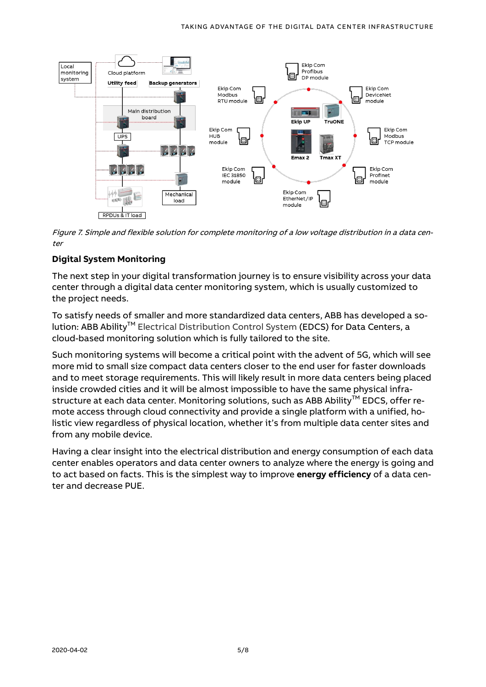

Figure 7. Simple and flexible solution for complete monitoring of a low voltage distribution in a data center

## **Digital System Monitoring**

The next step in your digital transformation journey is to ensure visibility across your data center through a digital data center monitoring system, which is usually customized to the project needs.

To satisfy needs of smaller and more standardized data centers, ABB has developed a solution: ABB Ability<sup>™</sup> Electrical Distribution Control System (EDCS) for Data Centers, a cloud-based monitoring solution which is fully tailored to the site.

Such monitoring systems will become a critical point with the advent of 5G, which will see more mid to small size compact data centers closer to the end user for faster downloads and to meet storage requirements. This will likely result in more data centers being placed inside crowded cities and it will be almost impossible to have the same physical infrastructure at each data center. Monitoring solutions, such as ABB Ability™ EDCS, offer remote access through cloud connectivity and provide a single platform with a unified, holistic view regardless of physical location, whether it's from multiple data center sites and from any mobile device.

Having a clear insight into the electrical distribution and energy consumption of each data center enables operators and data center owners to analyze where the energy is going and to act based on facts. This is the simplest way to improve **energy efficiency** of a data center and decrease PUE.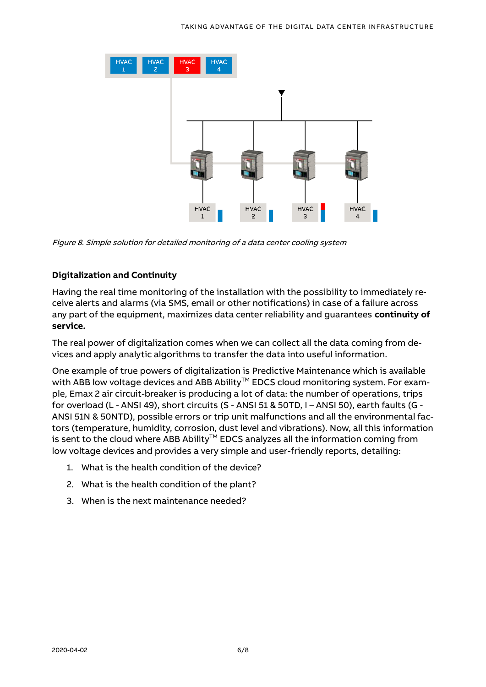

Figure 8. Simple solution for detailed monitoring of a data center cooling system

## **Digitalization and Continuity**

Having the real time monitoring of the installation with the possibility to immediately receive alerts and alarms (via SMS, email or other notifications) in case of a failure across any part of the equipment, maximizes data center reliability and guarantees **continuity of service.**

The real power of digitalization comes when we can collect all the data coming from devices and apply analytic algorithms to transfer the data into useful information.

One example of true powers of digitalization is [Predictive Maintenance](https://search-ext.abb.com/library/Download.aspx?DocumentID=1SDC200500D0202&LanguageCode=en&DocumentPartId=&Action=Launch&DocumentRevisionId=A) which is available with ABB low voltage devices and ABB Ability<sup>™</sup> EDCS cloud monitoring system. For example, Emax 2 air circuit-breaker is producing a lot of data: the number of operations, trips for overload (L - ANSI 49), short circuits (S - ANSI 51 & 50TD, I – ANSI 50), earth faults (G - ANSI 51N & 50NTD), possible errors or trip unit malfunctions and all the environmental factors (temperature, humidity, corrosion, dust level and vibrations). Now, all this information is sent to the cloud where ABB Ability $TM$  EDCS analyzes all the information coming from low voltage devices and provides a very simple and user-friendly reports, detailing:

- 1. What is the health condition of the device?
- 2. What is the health condition of the plant?
- 3. When is the next maintenance needed?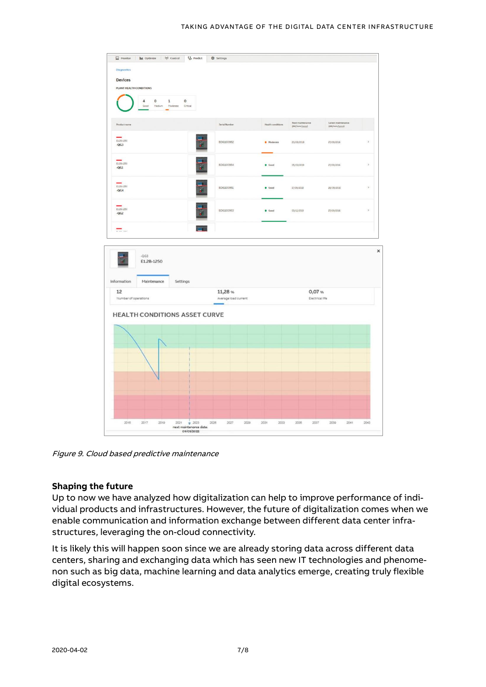

Figure 9. Cloud based predictive maintenance

## **Shaping the future**

Up to now we have analyzed how digitalization can help to improve performance of individual products and infrastructures. However, the future of digitalization comes when we enable communication and information exchange between different data center infrastructures, leveraging the on-cloud connectivity.

It is likely this will happen soon since we are already storing data across different data centers, sharing and exchanging data which has seen new IT technologies and phenomenon such as big data, machine learning and data analytics emerge, creating truly flexible digital ecosystems.